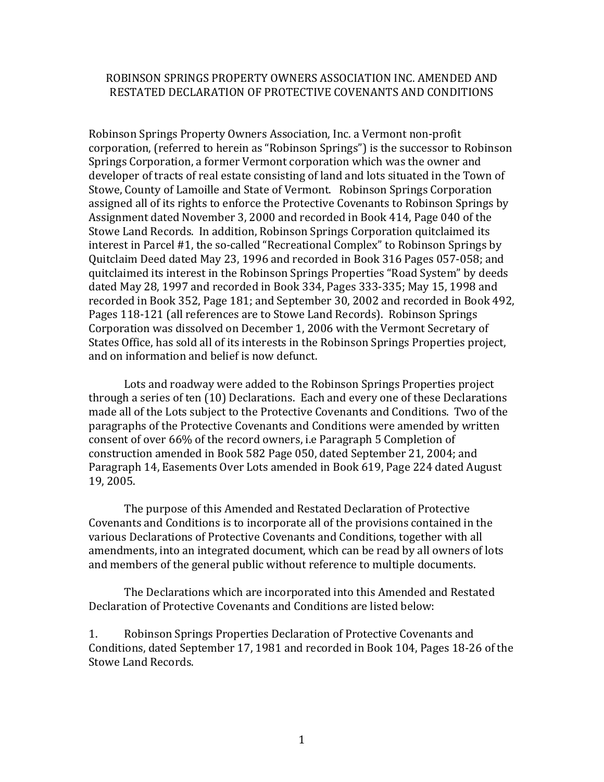## ROBINSON SPRINGS PROPERTY OWNERS ASSOCIATION INC. AMENDED AND RESTATED DECLARATION OF PROTECTIVE COVENANTS AND CONDITIONS

Robinson Springs Property Owners Association, Inc. a Vermont non-profit corporation, (referred to herein as "Robinson Springs") is the successor to Robinson Springs Corporation, a former Vermont corporation which was the owner and developer of tracts of real estate consisting of land and lots situated in the Town of Stowe, County of Lamoille and State of Vermont. Robinson Springs Corporation assigned all of its rights to enforce the Protective Covenants to Robinson Springs by Assignment dated November 3, 2000 and recorded in Book 414, Page 040 of the Stowe Land Records. In addition, Robinson Springs Corporation quitclaimed its interest in Parcel #1, the so-called "Recreational Complex" to Robinson Springs by Quitclaim Deed dated May 23, 1996 and recorded in Book 316 Pages 057-058; and quitclaimed its interest in the Robinson Springs Properties "Road System" by deeds dated May 28, 1997 and recorded in Book 334, Pages 333-335; May 15, 1998 and recorded in Book 352, Page 181; and September 30, 2002 and recorded in Book 492, Pages 118-121 (all references are to Stowe Land Records). Robinson Springs Corporation was dissolved on December 1, 2006 with the Vermont Secretary of States Office, has sold all of its interests in the Robinson Springs Properties project, and on information and belief is now defunct.

Lots and roadway were added to the Robinson Springs Properties project through a series of ten  $(10)$  Declarations. Each and every one of these Declarations made all of the Lots subject to the Protective Covenants and Conditions. Two of the paragraphs of the Protective Covenants and Conditions were amended by written consent of over 66% of the record owners, i.e Paragraph 5 Completion of construction amended in Book 582 Page 050, dated September 21, 2004; and Paragraph 14, Easements Over Lots amended in Book 619, Page 224 dated August 19, 2005. 

The purpose of this Amended and Restated Declaration of Protective Covenants and Conditions is to incorporate all of the provisions contained in the various Declarations of Protective Covenants and Conditions, together with all amendments, into an integrated document, which can be read by all owners of lots and members of the general public without reference to multiple documents.

The Declarations which are incorporated into this Amended and Restated Declaration of Protective Covenants and Conditions are listed below:

1. Robinson Springs Properties Declaration of Protective Covenants and Conditions, dated September 17, 1981 and recorded in Book 104, Pages 18-26 of the Stowe Land Records.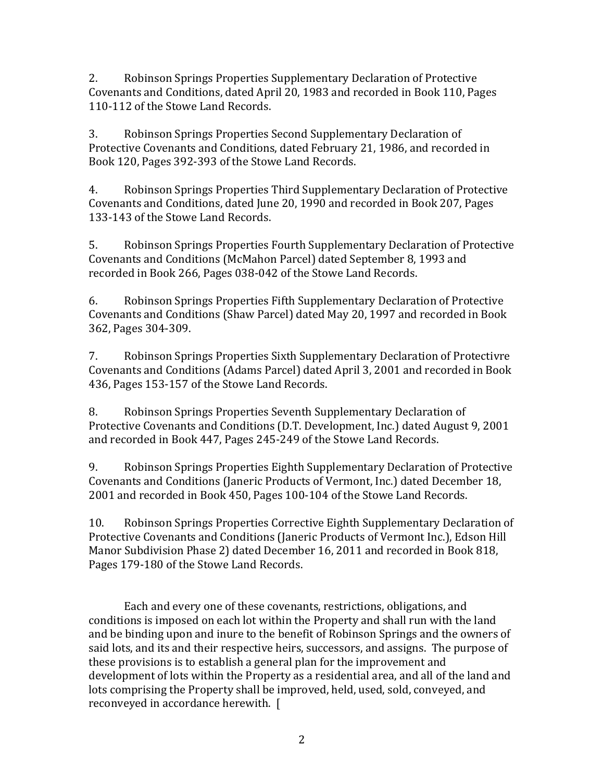2. Robinson Springs Properties Supplementary Declaration of Protective Covenants and Conditions, dated April 20, 1983 and recorded in Book 110, Pages 110-112 of the Stowe Land Records.

3. Robinson Springs Properties Second Supplementary Declaration of Protective Covenants and Conditions, dated February 21, 1986, and recorded in Book 120, Pages 392-393 of the Stowe Land Records.

4. Robinson Springs Properties Third Supplementary Declaration of Protective Covenants and Conditions, dated June 20, 1990 and recorded in Book 207, Pages 133-143 of the Stowe Land Records.

5. Robinson Springs Properties Fourth Supplementary Declaration of Protective Covenants and Conditions (McMahon Parcel) dated September 8, 1993 and recorded in Book 266, Pages 038-042 of the Stowe Land Records.

6. Robinson Springs Properties Fifth Supplementary Declaration of Protective Covenants and Conditions (Shaw Parcel) dated May 20, 1997 and recorded in Book 362, Pages 304-309.

7. Robinson Springs Properties Sixth Supplementary Declaration of Protectivre Covenants and Conditions (Adams Parcel) dated April 3, 2001 and recorded in Book 436, Pages 153-157 of the Stowe Land Records.

8. Robinson Springs Properties Seventh Supplementary Declaration of Protective Covenants and Conditions (D.T. Development, Inc.) dated August 9, 2001 and recorded in Book 447, Pages 245-249 of the Stowe Land Records.

9. Robinson Springs Properties Eighth Supplementary Declaration of Protective Covenants and Conditions (Janeric Products of Vermont, Inc.) dated December 18, 2001 and recorded in Book 450, Pages 100-104 of the Stowe Land Records.

10. Robinson Springs Properties Corrective Eighth Supplementary Declaration of Protective Covenants and Conditions (Janeric Products of Vermont Inc.), Edson Hill Manor Subdivision Phase 2) dated December 16, 2011 and recorded in Book 818, Pages 179-180 of the Stowe Land Records.

Each and every one of these covenants, restrictions, obligations, and conditions is imposed on each lot within the Property and shall run with the land and be binding upon and inure to the benefit of Robinson Springs and the owners of said lots, and its and their respective heirs, successors, and assigns. The purpose of these provisions is to establish a general plan for the improvement and development of lots within the Property as a residential area, and all of the land and lots comprising the Property shall be improved, held, used, sold, conveyed, and reconveyed in accordance herewith. [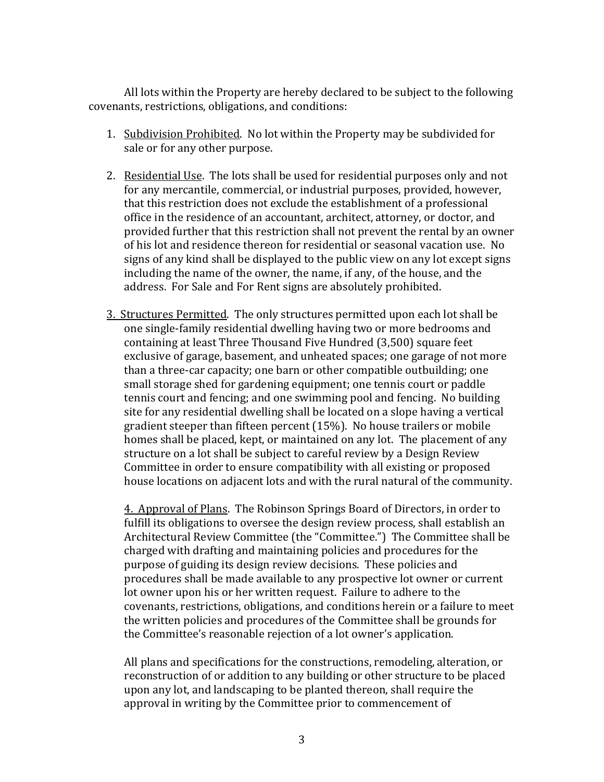All lots within the Property are hereby declared to be subject to the following covenants, restrictions, obligations, and conditions:

- 1. Subdivision Prohibited. No lot within the Property may be subdivided for sale or for any other purpose.
- 2. Residential Use. The lots shall be used for residential purposes only and not for any mercantile, commercial, or industrial purposes, provided, however, that this restriction does not exclude the establishment of a professional office in the residence of an accountant, architect, attorney, or doctor, and provided further that this restriction shall not prevent the rental by an owner of his lot and residence thereon for residential or seasonal vacation use. No signs of any kind shall be displayed to the public view on any lot except signs including the name of the owner, the name, if any, of the house, and the address. For Sale and For Rent signs are absolutely prohibited.
- 3. Structures Permitted. The only structures permitted upon each lot shall be one single-family residential dwelling having two or more bedrooms and containing at least Three Thousand Five Hundred (3,500) square feet exclusive of garage, basement, and unheated spaces; one garage of not more than a three-car capacity; one barn or other compatible outbuilding; one small storage shed for gardening equipment; one tennis court or paddle tennis court and fencing; and one swimming pool and fencing. No building site for any residential dwelling shall be located on a slope having a vertical gradient steeper than fifteen percent  $(15%)$ . No house trailers or mobile homes shall be placed, kept, or maintained on any lot. The placement of any structure on a lot shall be subject to careful review by a Design Review Committee in order to ensure compatibility with all existing or proposed house locations on adjacent lots and with the rural natural of the community.

4. Approval of Plans. The Robinson Springs Board of Directors, in order to fulfill its obligations to oversee the design review process, shall establish an Architectural Review Committee (the "Committee.") The Committee shall be charged with drafting and maintaining policies and procedures for the purpose of guiding its design review decisions. These policies and procedures shall be made available to any prospective lot owner or current lot owner upon his or her written request. Failure to adhere to the covenants, restrictions, obligations, and conditions herein or a failure to meet the written policies and procedures of the Committee shall be grounds for the Committee's reasonable rejection of a lot owner's application.

All plans and specifications for the constructions, remodeling, alteration, or reconstruction of or addition to any building or other structure to be placed upon any lot, and landscaping to be planted thereon, shall require the approval in writing by the Committee prior to commencement of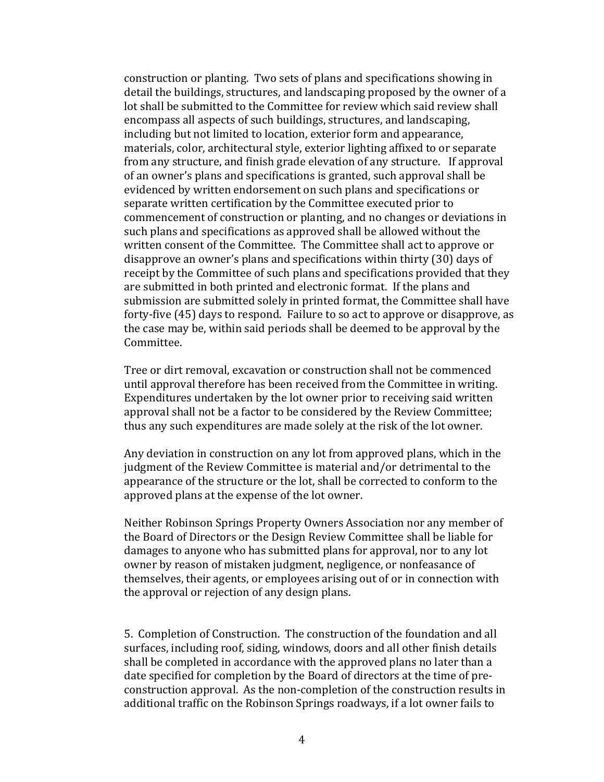construction or planting. Two sets of plans and specifications showing in detail the buildings, structures, and landscaping proposed by the owner of a lot shall be submitted to the Committee for review which said review shall encompass all aspects of such buildings, structures, and landscaping, including but not limited to location, exterior form and appearance, materials, color, architectural style, exterior lighting affixed to or separate from any structure, and finish grade elevation of any structure. If approval of an owner's plans and specifications is granted, such approval shall be evidenced by written endorsement on such plans and specifications or separate written certification by the Committee executed prior to commencement of construction or planting, and no changes or deviations in such plans and specifications as approved shall be allowed without the written consent of the Committee. The Committee shall act to approve or disapprove an owner's plans and specifications within thirty (30) days of receipt by the Committee of such plans and specifications provided that they are submitted in both printed and electronic format. If the plans and submission are submitted solely in printed format, the Committee shall have forty-five  $(45)$  days to respond. Failure to so act to approve or disapprove, as the case may be, within said periods shall be deemed to be approval by the Committee. 

Tree or dirt removal, excavation or construction shall not be commenced until approval therefore has been received from the Committee in writing. Expenditures undertaken by the lot owner prior to receiving said written approval shall not be a factor to be considered by the Review Committee; thus any such expenditures are made solely at the risk of the lot owner.

Any deviation in construction on any lot from approved plans, which in the judgment of the Review Committee is material and/or detrimental to the appearance of the structure or the lot, shall be corrected to conform to the approved plans at the expense of the lot owner.

Neither Robinson Springs Property Owners Association nor any member of the Board of Directors or the Design Review Committee shall be liable for damages to anyone who has submitted plans for approval, nor to any lot owner by reason of mistaken judgment, negligence, or nonfeasance of themselves, their agents, or employees arising out of or in connection with the approval or rejection of any design plans.

5. Completion of Construction. The construction of the foundation and all surfaces, including roof, siding, windows, doors and all other finish details shall be completed in accordance with the approved plans no later than a date specified for completion by the Board of directors at the time of preconstruction approval. As the non-completion of the construction results in additional traffic on the Robinson Springs roadways, if a lot owner fails to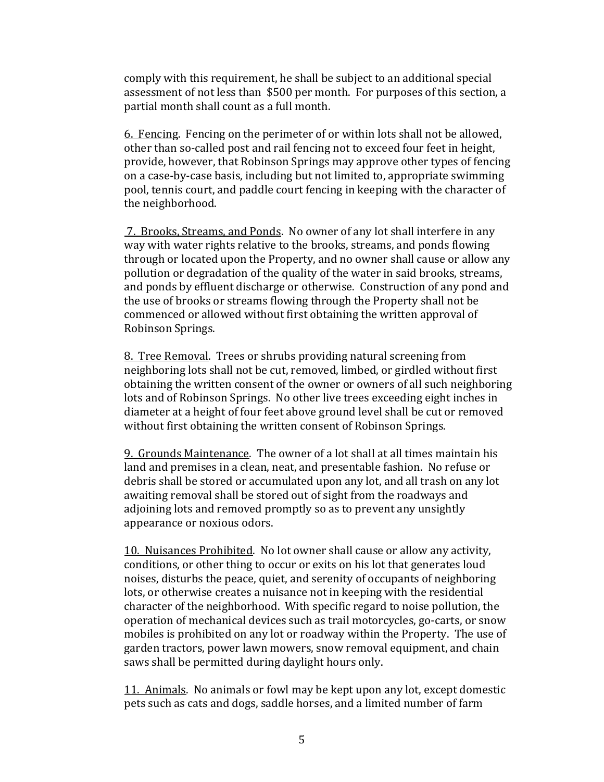comply with this requirement, he shall be subject to an additional special assessment of not less than \$500 per month. For purposes of this section, a partial month shall count as a full month.

6. Fencing. Fencing on the perimeter of or within lots shall not be allowed, other than so-called post and rail fencing not to exceed four feet in height, provide, however, that Robinson Springs may approve other types of fencing on a case-by-case basis, including but not limited to, appropriate swimming pool, tennis court, and paddle court fencing in keeping with the character of the neighborhood.

7. Brooks, Streams, and Ponds. No owner of any lot shall interfere in any way with water rights relative to the brooks, streams, and ponds flowing through or located upon the Property, and no owner shall cause or allow any pollution or degradation of the quality of the water in said brooks, streams, and ponds by effluent discharge or otherwise. Construction of any pond and the use of brooks or streams flowing through the Property shall not be commenced or allowed without first obtaining the written approval of Robinson Springs. 

8. Tree Removal. Trees or shrubs providing natural screening from neighboring lots shall not be cut, removed, limbed, or girdled without first obtaining the written consent of the owner or owners of all such neighboring lots and of Robinson Springs. No other live trees exceeding eight inches in diameter at a height of four feet above ground level shall be cut or removed without first obtaining the written consent of Robinson Springs.

9. Grounds Maintenance. The owner of a lot shall at all times maintain his land and premises in a clean, neat, and presentable fashion. No refuse or debris shall be stored or accumulated upon any lot, and all trash on any lot awaiting removal shall be stored out of sight from the roadways and adjoining lots and removed promptly so as to prevent any unsightly appearance or noxious odors.

10. Nuisances Prohibited. No lot owner shall cause or allow any activity, conditions, or other thing to occur or exits on his lot that generates loud noises, disturbs the peace, quiet, and serenity of occupants of neighboring lots, or otherwise creates a nuisance not in keeping with the residential character of the neighborhood. With specific regard to noise pollution, the operation of mechanical devices such as trail motorcycles, go-carts, or snow mobiles is prohibited on any lot or roadway within the Property. The use of garden tractors, power lawn mowers, snow removal equipment, and chain saws shall be permitted during daylight hours only.

11. Animals. No animals or fowl may be kept upon any lot, except domestic pets such as cats and dogs, saddle horses, and a limited number of farm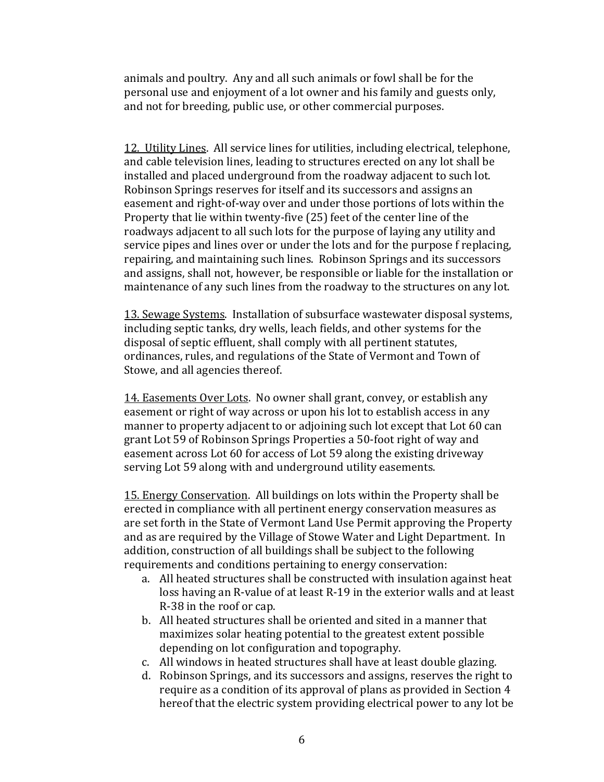animals and poultry. Any and all such animals or fowl shall be for the personal use and enjoyment of a lot owner and his family and guests only, and not for breeding, public use, or other commercial purposes.

12. Utility Lines. All service lines for utilities, including electrical, telephone, and cable television lines, leading to structures erected on any lot shall be installed and placed underground from the roadway adjacent to such lot. Robinson Springs reserves for itself and its successors and assigns an easement and right-of-way over and under those portions of lots within the Property that lie within twenty-five (25) feet of the center line of the roadways adjacent to all such lots for the purpose of laying any utility and service pipes and lines over or under the lots and for the purpose f replacing, repairing, and maintaining such lines. Robinson Springs and its successors and assigns, shall not, however, be responsible or liable for the installation or maintenance of any such lines from the roadway to the structures on any lot.

13. Sewage Systems. Installation of subsurface wastewater disposal systems, including septic tanks, dry wells, leach fields, and other systems for the disposal of septic effluent, shall comply with all pertinent statutes, ordinances, rules, and regulations of the State of Vermont and Town of Stowe, and all agencies thereof.

14. Easements Over Lots. No owner shall grant, convey, or establish any easement or right of way across or upon his lot to establish access in any manner to property adjacent to or adjoining such lot except that Lot 60 can grant Lot 59 of Robinson Springs Properties a 50-foot right of way and easement across Lot 60 for access of Lot 59 along the existing driveway serving Lot 59 along with and underground utility easements.

15. Energy Conservation. All buildings on lots within the Property shall be erected in compliance with all pertinent energy conservation measures as are set forth in the State of Vermont Land Use Permit approving the Property and as are required by the Village of Stowe Water and Light Department. In addition, construction of all buildings shall be subject to the following requirements and conditions pertaining to energy conservation:

- a. All heated structures shall be constructed with insulation against heat loss having an R-value of at least R-19 in the exterior walls and at least R-38 in the roof or cap.
- b. All heated structures shall be oriented and sited in a manner that maximizes solar heating potential to the greatest extent possible depending on lot configuration and topography.
- c. All windows in heated structures shall have at least double glazing.
- d. Robinson Springs, and its successors and assigns, reserves the right to require as a condition of its approval of plans as provided in Section 4 hereof that the electric system providing electrical power to any lot be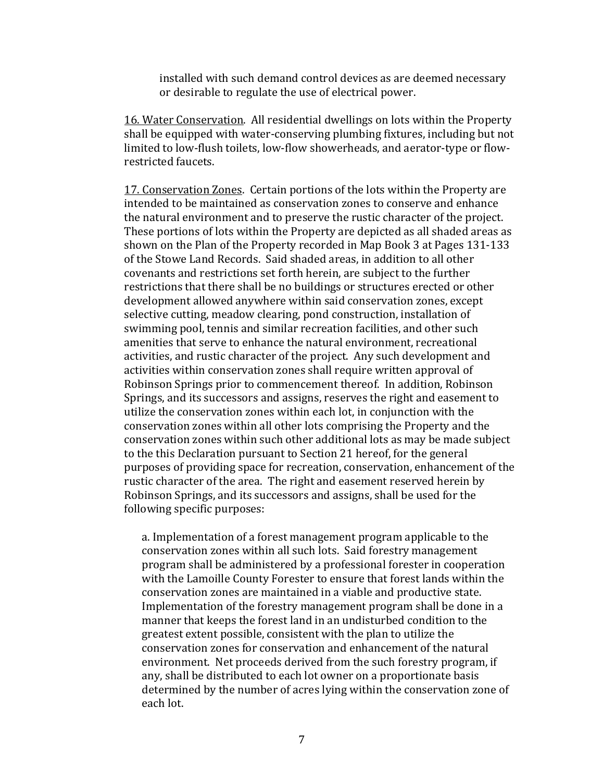installed with such demand control devices as are deemed necessary or desirable to regulate the use of electrical power.

16. Water Conservation. All residential dwellings on lots within the Property shall be equipped with water-conserving plumbing fixtures, including but not limited to low‐flush toilets, low‐flow showerheads, and aerator‐type or flow‐ restricted faucets.

17. Conservation Zones. Certain portions of the lots within the Property are intended to be maintained as conservation zones to conserve and enhance the natural environment and to preserve the rustic character of the project. These portions of lots within the Property are depicted as all shaded areas as shown on the Plan of the Property recorded in Map Book 3 at Pages 131-133 of the Stowe Land Records. Said shaded areas, in addition to all other covenants and restrictions set forth herein, are subject to the further restrictions that there shall be no buildings or structures erected or other development allowed anywhere within said conservation zones, except selective cutting, meadow clearing, pond construction, installation of swimming pool, tennis and similar recreation facilities, and other such amenities that serve to enhance the natural environment, recreational activities, and rustic character of the project. Any such development and activities within conservation zones shall require written approval of Robinson Springs prior to commencement thereof. In addition, Robinson Springs, and its successors and assigns, reserves the right and easement to utilize the conservation zones within each lot, in conjunction with the conservation zones within all other lots comprising the Property and the conservation zones within such other additional lots as may be made subject to the this Declaration pursuant to Section 21 hereof, for the general purposes of providing space for recreation, conservation, enhancement of the rustic character of the area. The right and easement reserved herein by Robinson Springs, and its successors and assigns, shall be used for the following specific purposes:

a. Implementation of a forest management program applicable to the conservation zones within all such lots. Said forestry management program shall be administered by a professional forester in cooperation with the Lamoille County Forester to ensure that forest lands within the conservation zones are maintained in a viable and productive state. Implementation of the forestry management program shall be done in a manner that keeps the forest land in an undisturbed condition to the greatest extent possible, consistent with the plan to utilize the conservation zones for conservation and enhancement of the natural environment. Net proceeds derived from the such forestry program, if any, shall be distributed to each lot owner on a proportionate basis determined by the number of acres lying within the conservation zone of each lot.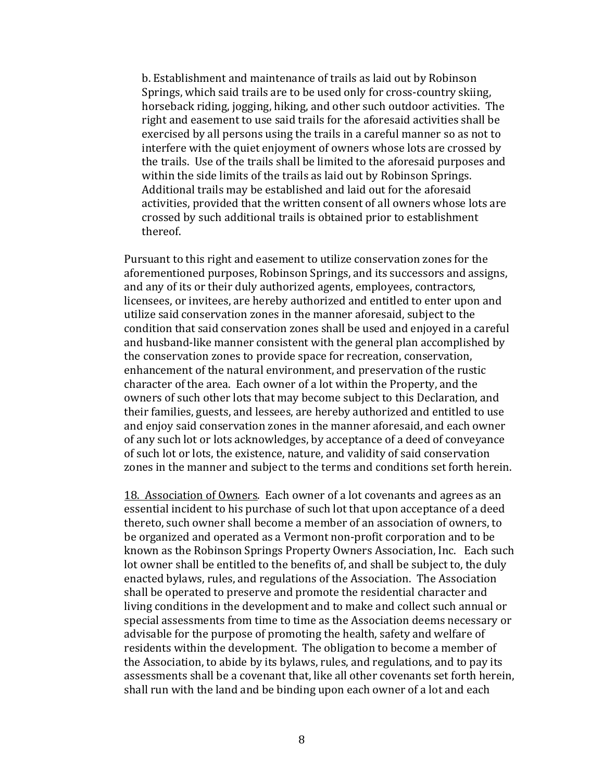b. Establishment and maintenance of trails as laid out by Robinson Springs, which said trails are to be used only for cross-country skiing, horseback riding, jogging, hiking, and other such outdoor activities. The right and easement to use said trails for the aforesaid activities shall be exercised by all persons using the trails in a careful manner so as not to interfere with the quiet enjoyment of owners whose lots are crossed by the trails. Use of the trails shall be limited to the aforesaid purposes and within the side limits of the trails as laid out by Robinson Springs. Additional trails may be established and laid out for the aforesaid activities, provided that the written consent of all owners whose lots are crossed by such additional trails is obtained prior to establishment thereof. 

Pursuant to this right and easement to utilize conservation zones for the aforementioned purposes, Robinson Springs, and its successors and assigns, and any of its or their duly authorized agents, employees, contractors, licensees, or invitees, are hereby authorized and entitled to enter upon and utilize said conservation zones in the manner aforesaid, subject to the condition that said conservation zones shall be used and enjoyed in a careful and husband-like manner consistent with the general plan accomplished by the conservation zones to provide space for recreation, conservation, enhancement of the natural environment, and preservation of the rustic character of the area. Each owner of a lot within the Property, and the owners of such other lots that may become subject to this Declaration, and their families, guests, and lessees, are hereby authorized and entitled to use and enjoy said conservation zones in the manner aforesaid, and each owner of any such lot or lots acknowledges, by acceptance of a deed of conveyance of such lot or lots, the existence, nature, and validity of said conservation zones in the manner and subject to the terms and conditions set forth herein.

18. Association of Owners. Each owner of a lot covenants and agrees as an essential incident to his purchase of such lot that upon acceptance of a deed thereto, such owner shall become a member of an association of owners, to be organized and operated as a Vermont non-profit corporation and to be known as the Robinson Springs Property Owners Association, Inc. Each such lot owner shall be entitled to the benefits of, and shall be subject to, the duly enacted bylaws, rules, and regulations of the Association. The Association shall be operated to preserve and promote the residential character and living conditions in the development and to make and collect such annual or special assessments from time to time as the Association deems necessary or advisable for the purpose of promoting the health, safety and welfare of residents within the development. The obligation to become a member of the Association, to abide by its bylaws, rules, and regulations, and to pay its assessments shall be a covenant that, like all other covenants set forth herein, shall run with the land and be binding upon each owner of a lot and each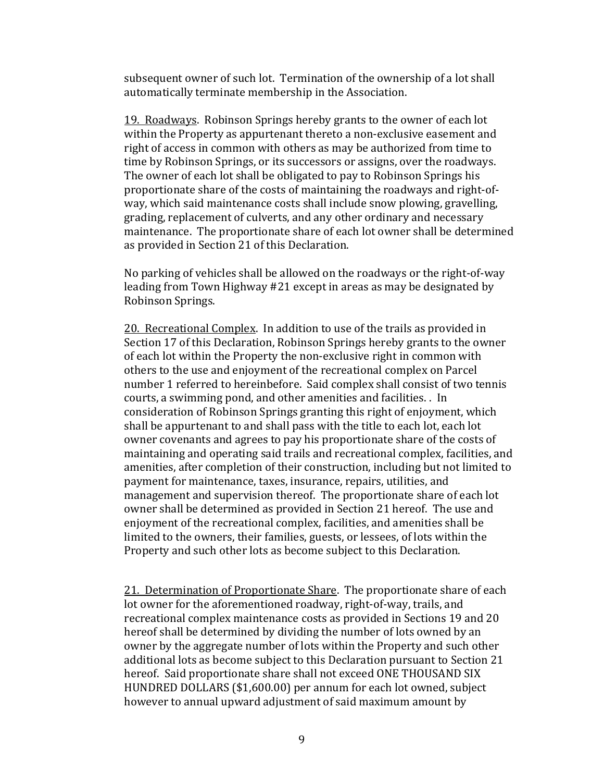subsequent owner of such lot. Termination of the ownership of a lot shall automatically terminate membership in the Association.

19. Roadways. Robinson Springs hereby grants to the owner of each lot within the Property as appurtenant thereto a non-exclusive easement and right of access in common with others as may be authorized from time to time by Robinson Springs, or its successors or assigns, over the roadways. The owner of each lot shall be obligated to pay to Robinson Springs his proportionate share of the costs of maintaining the roadways and right-ofway, which said maintenance costs shall include snow plowing, gravelling, grading, replacement of culverts, and any other ordinary and necessary maintenance. The proportionate share of each lot owner shall be determined as provided in Section 21 of this Declaration.

No parking of vehicles shall be allowed on the roadways or the right-of-way leading from Town Highway  $#21$  except in areas as may be designated by Robinson Springs. 

20. Recreational Complex. In addition to use of the trails as provided in Section 17 of this Declaration, Robinson Springs hereby grants to the owner of each lot within the Property the non-exclusive right in common with others to the use and enjoyment of the recreational complex on Parcel number 1 referred to hereinbefore. Said complex shall consist of two tennis courts, a swimming pond, and other amenities and facilities. . In consideration of Robinson Springs granting this right of enjoyment, which shall be appurtenant to and shall pass with the title to each lot, each lot owner covenants and agrees to pay his proportionate share of the costs of maintaining and operating said trails and recreational complex, facilities, and amenities, after completion of their construction, including but not limited to payment for maintenance, taxes, insurance, repairs, utilities, and management and supervision thereof. The proportionate share of each lot owner shall be determined as provided in Section 21 hereof. The use and enjoyment of the recreational complex, facilities, and amenities shall be limited to the owners, their families, guests, or lessees, of lots within the Property and such other lots as become subject to this Declaration.

21. Determination of Proportionate Share. The proportionate share of each lot owner for the aforementioned roadway, right-of-way, trails, and recreational complex maintenance costs as provided in Sections 19 and 20 hereof shall be determined by dividing the number of lots owned by an owner by the aggregate number of lots within the Property and such other additional lots as become subject to this Declaration pursuant to Section 21 hereof. Said proportionate share shall not exceed ONE THOUSAND SIX HUNDRED DOLLARS (\$1,600.00) per annum for each lot owned, subject however to annual upward adjustment of said maximum amount by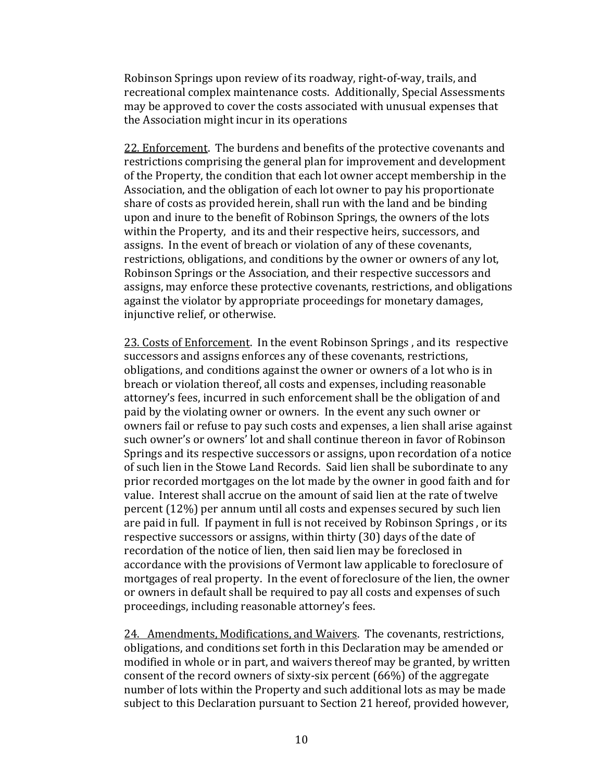Robinson Springs upon review of its roadway, right-of-way, trails, and recreational complex maintenance costs. Additionally, Special Assessments may be approved to cover the costs associated with unusual expenses that the Association might incur in its operations

22. Enforcement. The burdens and benefits of the protective covenants and restrictions comprising the general plan for improvement and development of the Property, the condition that each lot owner accept membership in the Association, and the obligation of each lot owner to pay his proportionate share of costs as provided herein, shall run with the land and be binding upon and inure to the benefit of Robinson Springs, the owners of the lots within the Property, and its and their respective heirs, successors, and assigns. In the event of breach or violation of any of these covenants, restrictions, obligations, and conditions by the owner or owners of any lot, Robinson Springs or the Association, and their respective successors and assigns, may enforce these protective covenants, restrictions, and obligations against the violator by appropriate proceedings for monetary damages, injunctive relief, or otherwise.

23. Costs of Enforcement. In the event Robinson Springs, and its respective successors and assigns enforces any of these covenants, restrictions, obligations, and conditions against the owner or owners of a lot who is in breach or violation thereof, all costs and expenses, including reasonable attorney's fees, incurred in such enforcement shall be the obligation of and paid by the violating owner or owners. In the event any such owner or owners fail or refuse to pay such costs and expenses, a lien shall arise against such owner's or owners' lot and shall continue thereon in favor of Robinson Springs and its respective successors or assigns, upon recordation of a notice of such lien in the Stowe Land Records. Said lien shall be subordinate to any prior recorded mortgages on the lot made by the owner in good faith and for value. Interest shall accrue on the amount of said lien at the rate of twelve percent  $(12\%)$  per annum until all costs and expenses secured by such lien are paid in full. If payment in full is not received by Robinson Springs, or its respective successors or assigns, within thirty (30) days of the date of recordation of the notice of lien, then said lien may be foreclosed in accordance with the provisions of Vermont law applicable to foreclosure of mortgages of real property. In the event of foreclosure of the lien, the owner or owners in default shall be required to pay all costs and expenses of such proceedings, including reasonable attorney's fees.

24. Amendments, Modifications, and Waivers. The covenants, restrictions, obligations, and conditions set forth in this Declaration may be amended or modified in whole or in part, and waivers thereof may be granted, by written consent of the record owners of sixty-six percent  $(66%)$  of the aggregate number of lots within the Property and such additional lots as may be made subject to this Declaration pursuant to Section 21 hereof, provided however,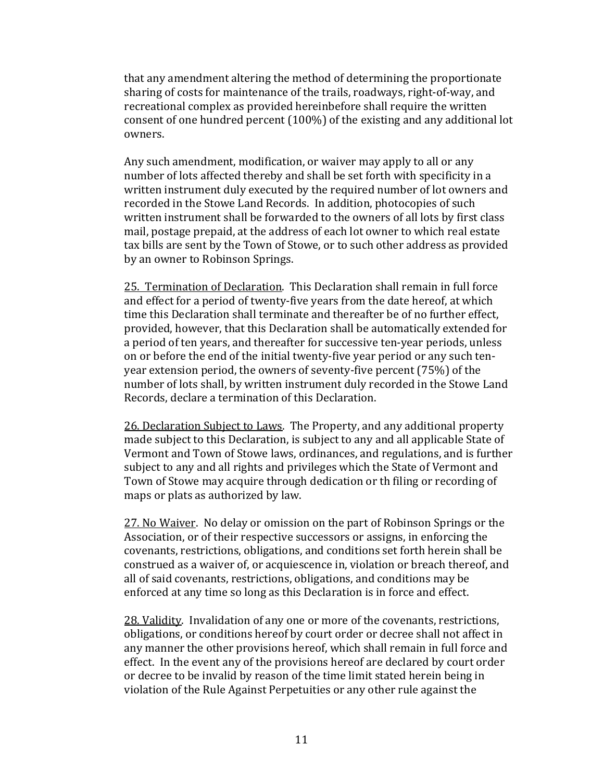that any amendment altering the method of determining the proportionate sharing of costs for maintenance of the trails, roadways, right-of-way, and recreational complex as provided hereinbefore shall require the written consent of one hundred percent  $(100\%)$  of the existing and any additional lot owners. 

Any such amendment, modification, or waiver may apply to all or any number of lots affected thereby and shall be set forth with specificity in a written instrument duly executed by the required number of lot owners and recorded in the Stowe Land Records. In addition, photocopies of such written instrument shall be forwarded to the owners of all lots by first class mail, postage prepaid, at the address of each lot owner to which real estate tax bills are sent by the Town of Stowe, or to such other address as provided by an owner to Robinson Springs.

25. Termination of Declaration. This Declaration shall remain in full force and effect for a period of twenty-five years from the date hereof, at which time this Declaration shall terminate and thereafter be of no further effect, provided, however, that this Declaration shall be automatically extended for a period of ten years, and thereafter for successive ten-year periods, unless on or before the end of the initial twenty-five year period or any such tenyear extension period, the owners of seventy-five percent  $(75%)$  of the number of lots shall, by written instrument duly recorded in the Stowe Land Records, declare a termination of this Declaration.

26. Declaration Subject to Laws. The Property, and any additional property made subject to this Declaration, is subject to any and all applicable State of Vermont and Town of Stowe laws, ordinances, and regulations, and is further subject to any and all rights and privileges which the State of Vermont and Town of Stowe may acquire through dedication or th filing or recording of maps or plats as authorized by law.

27. No Waiver. No delay or omission on the part of Robinson Springs or the Association, or of their respective successors or assigns, in enforcing the covenants, restrictions, obligations, and conditions set forth herein shall be construed as a waiver of, or acquiescence in, violation or breach thereof, and all of said covenants, restrictions, obligations, and conditions may be enforced at any time so long as this Declaration is in force and effect.

28. Validity. Invalidation of any one or more of the covenants, restrictions, obligations, or conditions hereof by court order or decree shall not affect in any manner the other provisions hereof, which shall remain in full force and effect. In the event any of the provisions hereof are declared by court order or decree to be invalid by reason of the time limit stated herein being in violation of the Rule Against Perpetuities or any other rule against the